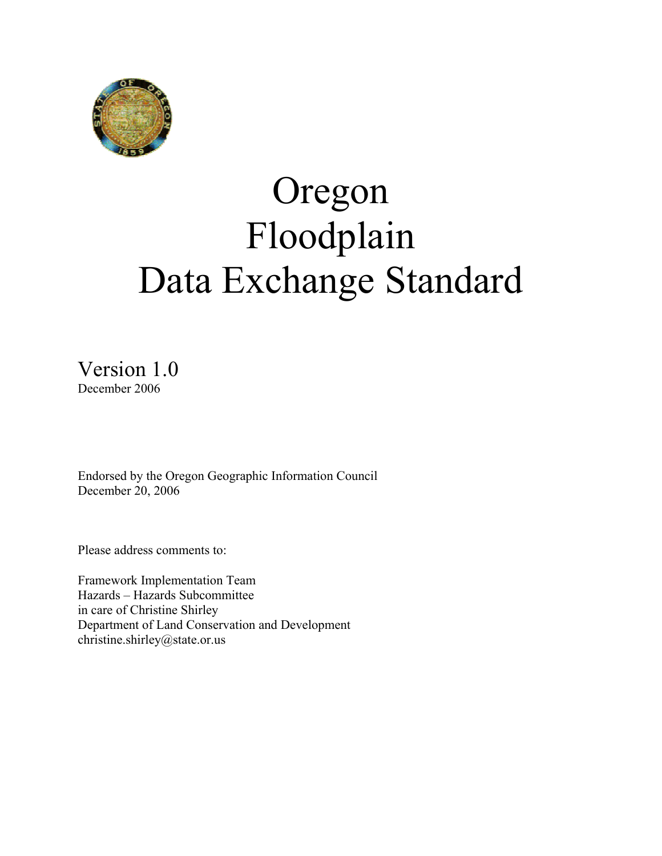

# Oregon Floodplain Data Exchange Standard

Version 1.0 December 2006

Endorsed by the Oregon Geographic Information Council December 20, 2006

Please address comments to:

Framework Implementation Team Hazards – Hazards Subcommittee in care of Christine Shirley Department of Land Conservation and Development christine.shirley@state.or.us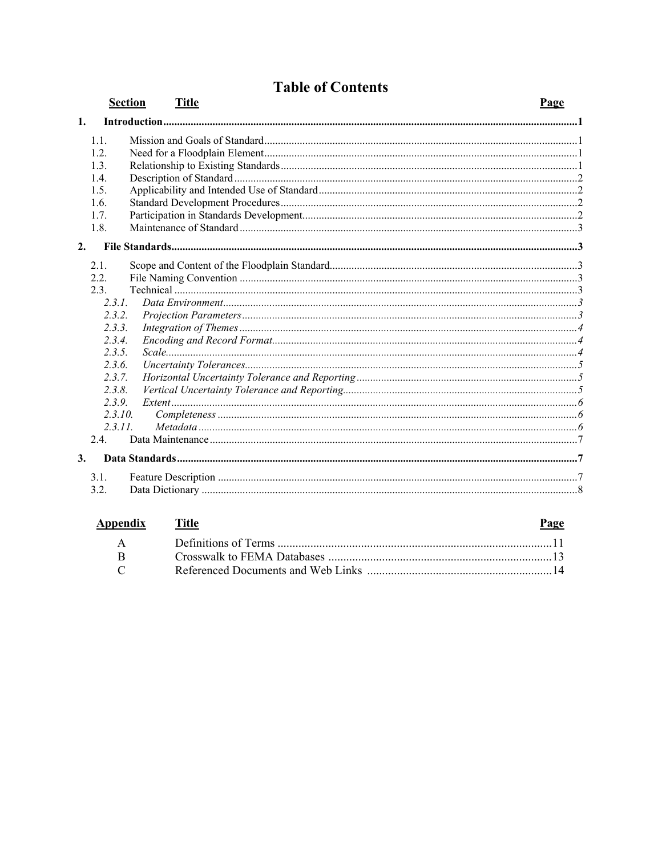|                |                                                                                                                                   | <b>Section</b><br><b>Title</b> | Page |
|----------------|-----------------------------------------------------------------------------------------------------------------------------------|--------------------------------|------|
| $\mathbf{1}$ . |                                                                                                                                   |                                |      |
|                | 1.1.<br>12<br>1.3.<br>1.4.<br>1.5.<br>1.6.<br>1.7.                                                                                |                                |      |
|                | 1.8.                                                                                                                              |                                |      |
| 2.             |                                                                                                                                   |                                |      |
|                | 2.1.<br>2.2.<br>2.3.<br>231<br>2.3.2.<br>2.3.3.<br>2.3.4.<br>2.3.5.<br>2.3.6.<br>2.3.7.<br>2.3.8.<br>2.3.9.<br>2.3.10.<br>2.3.11. |                                |      |
|                | 2.4.                                                                                                                              |                                |      |
| 3.             |                                                                                                                                   |                                |      |
|                | 3.1.<br>3.2.                                                                                                                      |                                |      |

# **Table of Contents**

| <b>Appendix</b> Title     | Page |
|---------------------------|------|
|                           |      |
|                           |      |
| $\mathbb{C}$ $\mathbb{C}$ |      |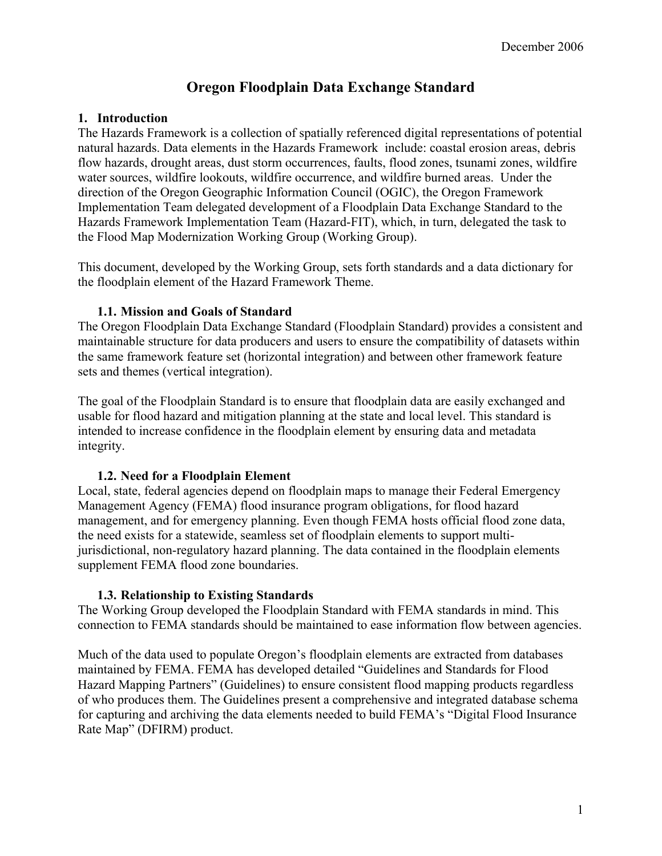## **Oregon Floodplain Data Exchange Standard**

#### **1. Introduction**

The Hazards Framework is a collection of spatially referenced digital representations of potential natural hazards. Data elements in the Hazards Framework include: coastal erosion areas, debris flow hazards, drought areas, dust storm occurrences, faults, flood zones, tsunami zones, wildfire water sources, wildfire lookouts, wildfire occurrence, and wildfire burned areas. Under the direction of the Oregon Geographic Information Council (OGIC), the Oregon Framework Implementation Team delegated development of a Floodplain Data Exchange Standard to the Hazards Framework Implementation Team (Hazard-FIT), which, in turn, delegated the task to the Flood Map Modernization Working Group (Working Group).

This document, developed by the Working Group, sets forth standards and a data dictionary for the floodplain element of the Hazard Framework Theme.

#### **1.1. Mission and Goals of Standard**

The Oregon Floodplain Data Exchange Standard (Floodplain Standard) provides a consistent and maintainable structure for data producers and users to ensure the compatibility of datasets within the same framework feature set (horizontal integration) and between other framework feature sets and themes (vertical integration).

The goal of the Floodplain Standard is to ensure that floodplain data are easily exchanged and usable for flood hazard and mitigation planning at the state and local level. This standard is intended to increase confidence in the floodplain element by ensuring data and metadata integrity.

#### **1.2. Need for a Floodplain Element**

Local, state, federal agencies depend on floodplain maps to manage their Federal Emergency Management Agency (FEMA) flood insurance program obligations, for flood hazard management, and for emergency planning. Even though FEMA hosts official flood zone data, the need exists for a statewide, seamless set of floodplain elements to support multijurisdictional, non-regulatory hazard planning. The data contained in the floodplain elements supplement FEMA flood zone boundaries.

#### **1.3. Relationship to Existing Standards**

The Working Group developed the Floodplain Standard with FEMA standards in mind. This connection to FEMA standards should be maintained to ease information flow between agencies.

Much of the data used to populate Oregon's floodplain elements are extracted from databases maintained by FEMA. FEMA has developed detailed "Guidelines and Standards for Flood Hazard Mapping Partners" (Guidelines) to ensure consistent flood mapping products regardless of who produces them. The Guidelines present a comprehensive and integrated database schema for capturing and archiving the data elements needed to build FEMA's "Digital Flood Insurance Rate Map" (DFIRM) product.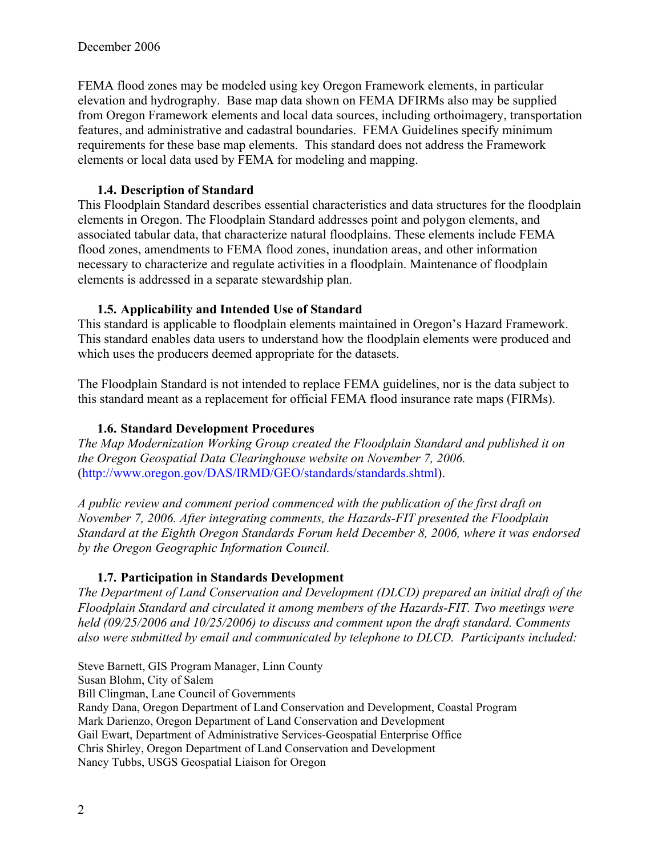FEMA flood zones may be modeled using key Oregon Framework elements, in particular elevation and hydrography. Base map data shown on FEMA DFIRMs also may be supplied from Oregon Framework elements and local data sources, including orthoimagery, transportation features, and administrative and cadastral boundaries. FEMA Guidelines specify minimum requirements for these base map elements. This standard does not address the Framework elements or local data used by FEMA for modeling and mapping.

#### **1.4. Description of Standard**

This Floodplain Standard describes essential characteristics and data structures for the floodplain elements in Oregon. The Floodplain Standard addresses point and polygon elements, and associated tabular data, that characterize natural floodplains. These elements include FEMA flood zones, amendments to FEMA flood zones, inundation areas, and other information necessary to characterize and regulate activities in a floodplain. Maintenance of floodplain elements is addressed in a separate stewardship plan.

#### **1.5. Applicability and Intended Use of Standard**

This standard is applicable to floodplain elements maintained in Oregon's Hazard Framework. This standard enables data users to understand how the floodplain elements were produced and which uses the producers deemed appropriate for the datasets.

The Floodplain Standard is not intended to replace FEMA guidelines, nor is the data subject to this standard meant as a replacement for official FEMA flood insurance rate maps (FIRMs).

#### **1.6. Standard Development Procedures**

*The Map Modernization Working Group created the Floodplain Standard and published it on the Oregon Geospatial Data Clearinghouse website on November 7, 2006.* (http://www.oregon.gov/DAS/IRMD/GEO/standards/standards.shtml).

*A public review and comment period commenced with the publication of the first draft on November 7, 2006. After integrating comments, the Hazards-FIT presented the Floodplain Standard at the Eighth Oregon Standards Forum held December 8, 2006, where it was endorsed by the Oregon Geographic Information Council.* 

### **1.7. Participation in Standards Development**

*The Department of Land Conservation and Development (DLCD) prepared an initial draft of the Floodplain Standard and circulated it among members of the Hazards-FIT. Two meetings were held (09/25/2006 and 10/25/2006) to discuss and comment upon the draft standard. Comments also were submitted by email and communicated by telephone to DLCD. Participants included:* 

Steve Barnett, GIS Program Manager, Linn County Susan Blohm, City of Salem Bill Clingman, Lane Council of Governments Randy Dana, Oregon Department of Land Conservation and Development, Coastal Program Mark Darienzo, Oregon Department of Land Conservation and Development Gail Ewart, Department of Administrative Services-Geospatial Enterprise Office Chris Shirley, Oregon Department of Land Conservation and Development Nancy Tubbs, USGS Geospatial Liaison for Oregon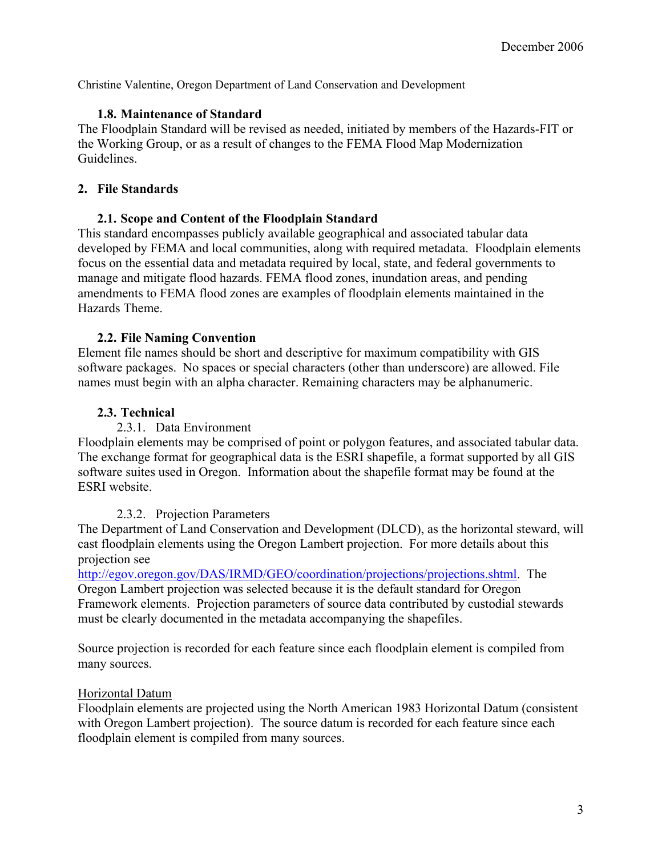Christine Valentine, Oregon Department of Land Conservation and Development

#### **1.8. Maintenance of Standard**

The Floodplain Standard will be revised as needed, initiated by members of the Hazards-FIT or the Working Group, or as a result of changes to the FEMA Flood Map Modernization Guidelines.

#### **2. File Standards**

#### **2.1. Scope and Content of the Floodplain Standard**

This standard encompasses publicly available geographical and associated tabular data developed by FEMA and local communities, along with required metadata. Floodplain elements focus on the essential data and metadata required by local, state, and federal governments to manage and mitigate flood hazards. FEMA flood zones, inundation areas, and pending amendments to FEMA flood zones are examples of floodplain elements maintained in the Hazards Theme.

#### **2.2. File Naming Convention**

Element file names should be short and descriptive for maximum compatibility with GIS software packages. No spaces or special characters (other than underscore) are allowed. File names must begin with an alpha character. Remaining characters may be alphanumeric.

#### **2.3. Technical**

#### 2.3.1. Data Environment

Floodplain elements may be comprised of point or polygon features, and associated tabular data. The exchange format for geographical data is the ESRI shapefile, a format supported by all GIS software suites used in Oregon. Information about the shapefile format may be found at the ESRI website.

#### 2.3.2. Projection Parameters

The Department of Land Conservation and Development (DLCD), as the horizontal steward, will cast floodplain elements using the Oregon Lambert projection. For more details about this projection see

http://egov.oregon.gov/DAS/IRMD/GEO/coordination/projections/projections.shtml. The Oregon Lambert projection was selected because it is the default standard for Oregon Framework elements. Projection parameters of source data contributed by custodial stewards must be clearly documented in the metadata accompanying the shapefiles.

Source projection is recorded for each feature since each floodplain element is compiled from many sources.

#### Horizontal Datum

Floodplain elements are projected using the North American 1983 Horizontal Datum (consistent with Oregon Lambert projection). The source datum is recorded for each feature since each floodplain element is compiled from many sources.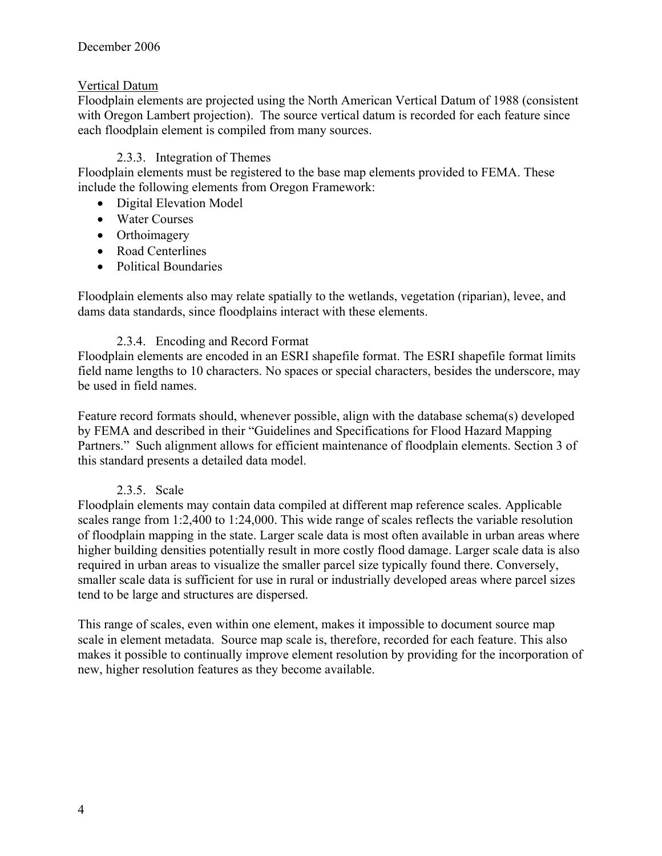#### Vertical Datum

Floodplain elements are projected using the North American Vertical Datum of 1988 (consistent with Oregon Lambert projection). The source vertical datum is recorded for each feature since each floodplain element is compiled from many sources.

#### 2.3.3. Integration of Themes

Floodplain elements must be registered to the base map elements provided to FEMA. These include the following elements from Oregon Framework:

- Digital Elevation Model
- Water Courses
- Orthoimagery
- Road Centerlines
- Political Boundaries

Floodplain elements also may relate spatially to the wetlands, vegetation (riparian), levee, and dams data standards, since floodplains interact with these elements.

#### 2.3.4. Encoding and Record Format

Floodplain elements are encoded in an ESRI shapefile format. The ESRI shapefile format limits field name lengths to 10 characters. No spaces or special characters, besides the underscore, may be used in field names.

Feature record formats should, whenever possible, align with the database schema(s) developed by FEMA and described in their "Guidelines and Specifications for Flood Hazard Mapping Partners." Such alignment allows for efficient maintenance of floodplain elements. Section 3 of this standard presents a detailed data model.

#### 2.3.5. Scale

Floodplain elements may contain data compiled at different map reference scales. Applicable scales range from 1:2,400 to 1:24,000. This wide range of scales reflects the variable resolution of floodplain mapping in the state. Larger scale data is most often available in urban areas where higher building densities potentially result in more costly flood damage. Larger scale data is also required in urban areas to visualize the smaller parcel size typically found there. Conversely, smaller scale data is sufficient for use in rural or industrially developed areas where parcel sizes tend to be large and structures are dispersed.

This range of scales, even within one element, makes it impossible to document source map scale in element metadata. Source map scale is, therefore, recorded for each feature. This also makes it possible to continually improve element resolution by providing for the incorporation of new, higher resolution features as they become available.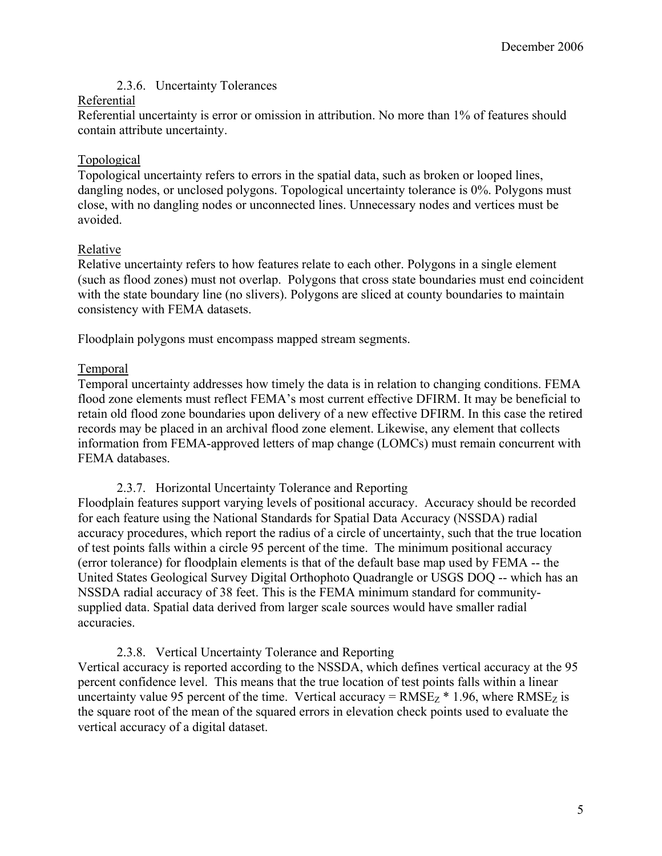#### 2.3.6. Uncertainty Tolerances

#### Referential

Referential uncertainty is error or omission in attribution. No more than 1% of features should contain attribute uncertainty.

#### Topological

Topological uncertainty refers to errors in the spatial data, such as broken or looped lines, dangling nodes, or unclosed polygons. Topological uncertainty tolerance is 0%. Polygons must close, with no dangling nodes or unconnected lines. Unnecessary nodes and vertices must be avoided.

#### Relative

Relative uncertainty refers to how features relate to each other. Polygons in a single element (such as flood zones) must not overlap. Polygons that cross state boundaries must end coincident with the state boundary line (no slivers). Polygons are sliced at county boundaries to maintain consistency with FEMA datasets.

Floodplain polygons must encompass mapped stream segments.

#### Temporal

Temporal uncertainty addresses how timely the data is in relation to changing conditions. FEMA flood zone elements must reflect FEMA's most current effective DFIRM. It may be beneficial to retain old flood zone boundaries upon delivery of a new effective DFIRM. In this case the retired records may be placed in an archival flood zone element. Likewise, any element that collects information from FEMA-approved letters of map change (LOMCs) must remain concurrent with FEMA databases.

#### 2.3.7. Horizontal Uncertainty Tolerance and Reporting

Floodplain features support varying levels of positional accuracy. Accuracy should be recorded for each feature using the National Standards for Spatial Data Accuracy (NSSDA) radial accuracy procedures, which report the radius of a circle of uncertainty, such that the true location of test points falls within a circle 95 percent of the time. The minimum positional accuracy (error tolerance) for floodplain elements is that of the default base map used by FEMA -- the United States Geological Survey Digital Orthophoto Quadrangle or USGS DOQ -- which has an NSSDA radial accuracy of 38 feet. This is the FEMA minimum standard for communitysupplied data. Spatial data derived from larger scale sources would have smaller radial accuracies.

#### 2.3.8. Vertical Uncertainty Tolerance and Reporting

Vertical accuracy is reported according to the NSSDA, which defines vertical accuracy at the 95 percent confidence level. This means that the true location of test points falls within a linear uncertainty value 95 percent of the time. Vertical accuracy =  $RMSE<sub>Z</sub> * 1.96$ , where  $RMSE<sub>Z</sub>$  is the square root of the mean of the squared errors in elevation check points used to evaluate the vertical accuracy of a digital dataset.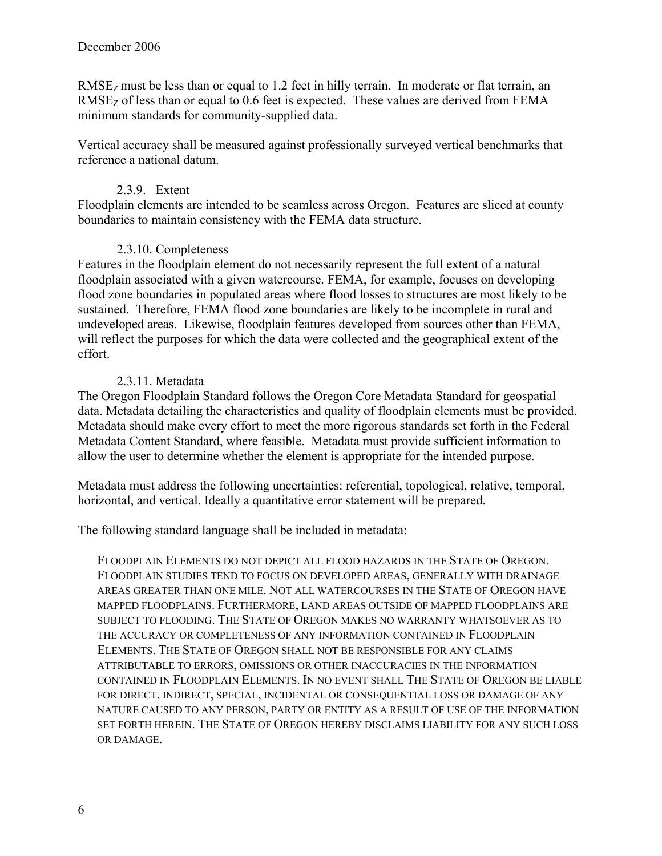RMSE<sub>Z</sub> must be less than or equal to 1.2 feet in hilly terrain. In moderate or flat terrain, an  $RMSE<sub>Z</sub>$  of less than or equal to 0.6 feet is expected. These values are derived from FEMA minimum standards for community-supplied data.

Vertical accuracy shall be measured against professionally surveyed vertical benchmarks that reference a national datum.

#### 2.3.9. Extent

Floodplain elements are intended to be seamless across Oregon. Features are sliced at county boundaries to maintain consistency with the FEMA data structure.

#### 2.3.10. Completeness

Features in the floodplain element do not necessarily represent the full extent of a natural floodplain associated with a given watercourse. FEMA, for example, focuses on developing flood zone boundaries in populated areas where flood losses to structures are most likely to be sustained. Therefore, FEMA flood zone boundaries are likely to be incomplete in rural and undeveloped areas. Likewise, floodplain features developed from sources other than FEMA, will reflect the purposes for which the data were collected and the geographical extent of the effort.

#### 2.3.11. Metadata

The Oregon Floodplain Standard follows the Oregon Core Metadata Standard for geospatial data. Metadata detailing the characteristics and quality of floodplain elements must be provided. Metadata should make every effort to meet the more rigorous standards set forth in the Federal Metadata Content Standard, where feasible. Metadata must provide sufficient information to allow the user to determine whether the element is appropriate for the intended purpose.

Metadata must address the following uncertainties: referential, topological, relative, temporal, horizontal, and vertical. Ideally a quantitative error statement will be prepared.

The following standard language shall be included in metadata:

FLOODPLAIN ELEMENTS DO NOT DEPICT ALL FLOOD HAZARDS IN THE STATE OF OREGON. FLOODPLAIN STUDIES TEND TO FOCUS ON DEVELOPED AREAS, GENERALLY WITH DRAINAGE AREAS GREATER THAN ONE MILE. NOT ALL WATERCOURSES IN THE STATE OF OREGON HAVE MAPPED FLOODPLAINS. FURTHERMORE, LAND AREAS OUTSIDE OF MAPPED FLOODPLAINS ARE SUBJECT TO FLOODING. THE STATE OF OREGON MAKES NO WARRANTY WHATSOEVER AS TO THE ACCURACY OR COMPLETENESS OF ANY INFORMATION CONTAINED IN FLOODPLAIN ELEMENTS. THE STATE OF OREGON SHALL NOT BE RESPONSIBLE FOR ANY CLAIMS ATTRIBUTABLE TO ERRORS, OMISSIONS OR OTHER INACCURACIES IN THE INFORMATION CONTAINED IN FLOODPLAIN ELEMENTS. IN NO EVENT SHALL THE STATE OF OREGON BE LIABLE FOR DIRECT, INDIRECT, SPECIAL, INCIDENTAL OR CONSEQUENTIAL LOSS OR DAMAGE OF ANY NATURE CAUSED TO ANY PERSON, PARTY OR ENTITY AS A RESULT OF USE OF THE INFORMATION SET FORTH HEREIN. THE STATE OF OREGON HEREBY DISCLAIMS LIABILITY FOR ANY SUCH LOSS OR DAMAGE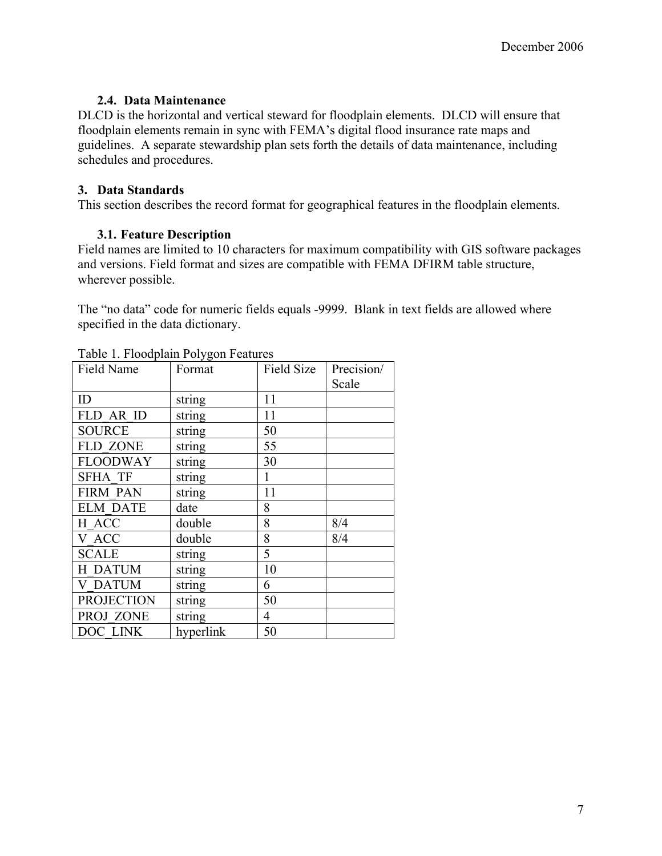#### **2.4. Data Maintenance**

DLCD is the horizontal and vertical steward for floodplain elements. DLCD will ensure that floodplain elements remain in sync with FEMA's digital flood insurance rate maps and guidelines. A separate stewardship plan sets forth the details of data maintenance, including schedules and procedures.

#### **3. Data Standards**

This section describes the record format for geographical features in the floodplain elements.

### **3.1. Feature Description**

Field names are limited to 10 characters for maximum compatibility with GIS software packages and versions. Field format and sizes are compatible with FEMA DFIRM table structure, wherever possible.

The "no data" code for numeric fields equals -9999. Blank in text fields are allowed where specified in the data dictionary.

| Field Name        | Format    | Field Size     | Precision/ |
|-------------------|-----------|----------------|------------|
|                   |           |                | Scale      |
| ID                | string    | 11             |            |
| FLD AR ID         | string    | 11             |            |
| <b>SOURCE</b>     | string    | 50             |            |
| <b>FLD ZONE</b>   | string    | 55             |            |
| <b>FLOODWAY</b>   | string    | 30             |            |
| <b>SFHA TF</b>    | string    | $\mathbf{1}$   |            |
| <b>FIRM PAN</b>   | string    | 11             |            |
| <b>ELM DATE</b>   | date      | 8              |            |
| H ACC             | double    | 8              | 8/4        |
| V ACC             | double    | 8              | 8/4        |
| <b>SCALE</b>      | string    | 5              |            |
| H DATUM           | string    | 10             |            |
| <b>V DATUM</b>    | string    | 6              |            |
| <b>PROJECTION</b> | string    | 50             |            |
| PROJ ZONE         | string    | $\overline{4}$ |            |
| DOC LINK          | hyperlink | 50             |            |

#### Table 1. Floodplain Polygon Features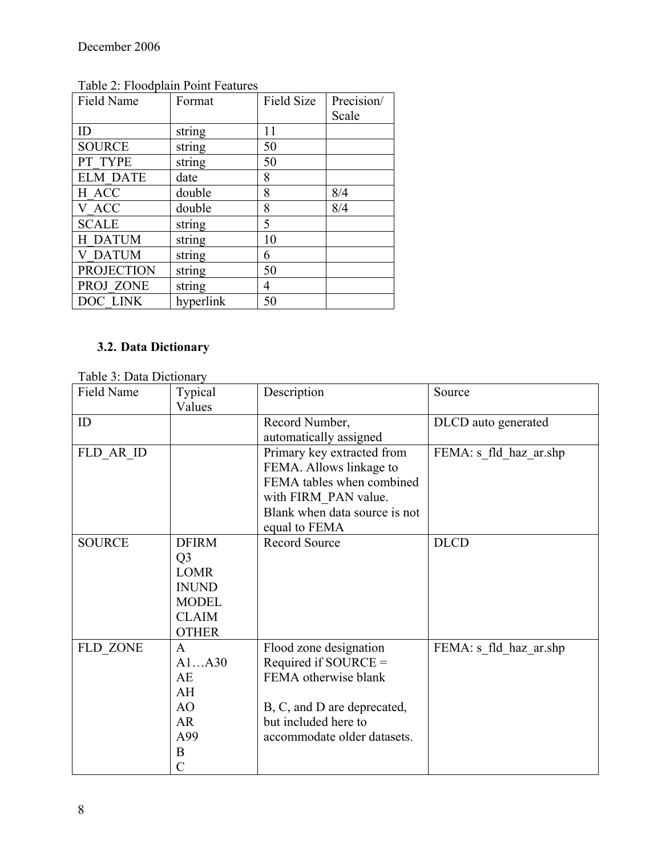| Field Name        | Format    | <b>Field Size</b> | Precision/ |
|-------------------|-----------|-------------------|------------|
|                   |           |                   | Scale      |
| ID                | string    | 11                |            |
| <b>SOURCE</b>     | string    | 50                |            |
| PT TYPE           | string    | 50                |            |
| <b>ELM DATE</b>   | date      | 8                 |            |
| H ACC             | double    | 8                 | 8/4        |
| V ACC             | double    | 8                 | 8/4        |
| <b>SCALE</b>      | string    | 5                 |            |
| H DATUM           | string    | 10                |            |
| <b>V DATUM</b>    | string    | 6                 |            |
| <b>PROJECTION</b> | string    | 50                |            |
| PROJ ZONE         | string    | 4                 |            |
| DOC LINK          | hyperlink | 50                |            |

Table 2: Floodplain Point Features

# **3.2. Data Dictionary**

Table 3: Data Dictionary

| $10000$ . Duid Divilonary<br>Field Name | Typical        | Description                   | Source                 |
|-----------------------------------------|----------------|-------------------------------|------------------------|
|                                         | Values         |                               |                        |
| ID                                      |                | Record Number,                | DLCD auto generated    |
|                                         |                | automatically assigned        |                        |
| FLD_AR ID                               |                | Primary key extracted from    | FEMA: s fld haz ar.shp |
|                                         |                | FEMA. Allows linkage to       |                        |
|                                         |                | FEMA tables when combined     |                        |
|                                         |                | with FIRM PAN value.          |                        |
|                                         |                | Blank when data source is not |                        |
|                                         |                | equal to FEMA                 |                        |
| <b>SOURCE</b>                           | <b>DFIRM</b>   | <b>Record Source</b>          | <b>DLCD</b>            |
|                                         | Q <sub>3</sub> |                               |                        |
|                                         | <b>LOMR</b>    |                               |                        |
|                                         | <b>INUND</b>   |                               |                        |
|                                         | <b>MODEL</b>   |                               |                        |
|                                         | <b>CLAIM</b>   |                               |                        |
|                                         | <b>OTHER</b>   |                               |                        |
| FLD ZONE                                | $\mathbf{A}$   | Flood zone designation        | FEMA: s fld haz ar.shp |
|                                         | A1A30          | Required if SOURCE $=$        |                        |
|                                         | AE             | FEMA otherwise blank          |                        |
|                                         | AH             |                               |                        |
|                                         | AO             | B, C, and D are deprecated,   |                        |
|                                         | AR             | but included here to          |                        |
|                                         | A99            | accommodate older datasets.   |                        |
|                                         | B              |                               |                        |
|                                         | $\overline{C}$ |                               |                        |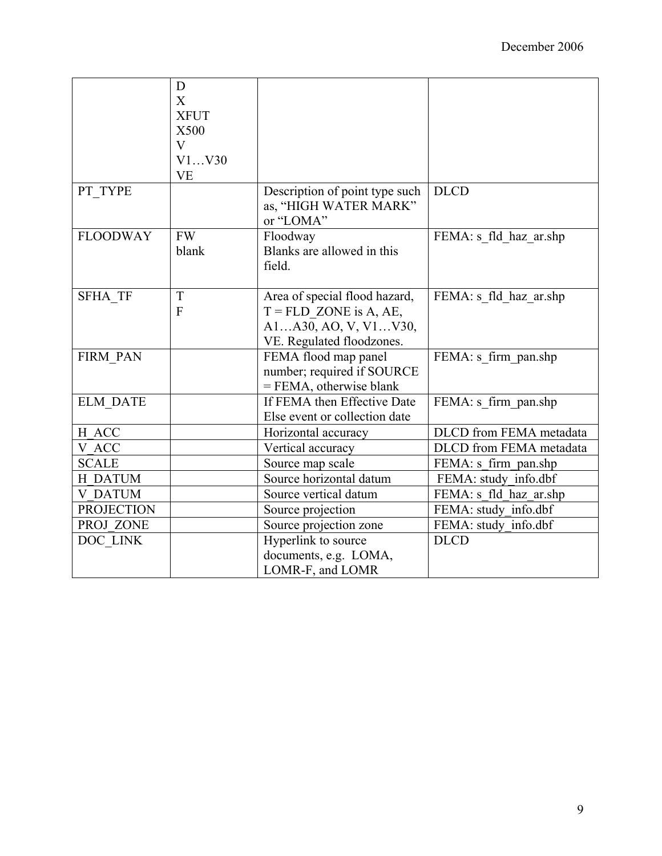|                   | D                         |                                |                         |
|-------------------|---------------------------|--------------------------------|-------------------------|
|                   | $\boldsymbol{\mathrm{X}}$ |                                |                         |
|                   | <b>XFUT</b>               |                                |                         |
|                   | X500                      |                                |                         |
|                   | $\mathbf V$               |                                |                         |
|                   | V1V30                     |                                |                         |
|                   | <b>VE</b>                 |                                |                         |
| PT TYPE           |                           | Description of point type such | <b>DLCD</b>             |
|                   |                           | as, "HIGH WATER MARK"          |                         |
|                   |                           | or "LOMA"                      |                         |
| <b>FLOODWAY</b>   | <b>FW</b>                 | Floodway                       | FEMA: s fld haz ar.shp  |
|                   | blank                     | Blanks are allowed in this     |                         |
|                   |                           | field.                         |                         |
|                   |                           |                                |                         |
| <b>SFHA TF</b>    | T                         | Area of special flood hazard,  | FEMA: s fld haz ar.shp  |
|                   | F                         | $T = FLD$ ZONE is A, AE,       |                         |
|                   |                           | A1A30, AO, V, V1V30,           |                         |
|                   |                           | VE. Regulated floodzones.      |                         |
| FIRM PAN          |                           | FEMA flood map panel           | FEMA: s firm pan.shp    |
|                   |                           | number; required if SOURCE     |                         |
|                   |                           | $=$ FEMA, otherwise blank      |                         |
| <b>ELM DATE</b>   |                           | If FEMA then Effective Date    | FEMA: s firm pan.shp    |
|                   |                           | Else event or collection date  |                         |
| H ACC             |                           | Horizontal accuracy            | DLCD from FEMA metadata |
| V ACC             |                           | Vertical accuracy              | DLCD from FEMA metadata |
| <b>SCALE</b>      |                           | Source map scale               | FEMA: s firm_pan.shp    |
| <b>H DATUM</b>    |                           | Source horizontal datum        | FEMA: study info.dbf    |
| <b>V DATUM</b>    |                           | Source vertical datum          | FEMA: s fld haz ar.shp  |
| <b>PROJECTION</b> |                           | Source projection              | FEMA: study info.dbf    |
| PROJ ZONE         |                           | Source projection zone         | FEMA: study info.dbf    |
| DOC LINK          |                           | Hyperlink to source            | <b>DLCD</b>             |
|                   |                           | documents, e.g. LOMA,          |                         |
|                   |                           | LOMR-F, and LOMR               |                         |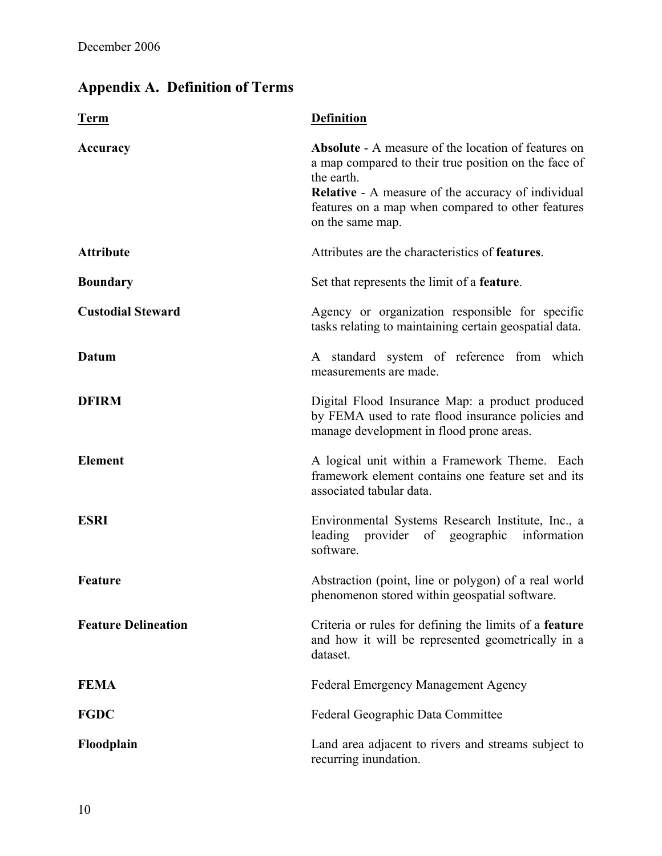# **Appendix A. Definition of Terms**

| <b>Term</b>                | <b>Definition</b>                                                                                                                                                                                                                                                      |  |
|----------------------------|------------------------------------------------------------------------------------------------------------------------------------------------------------------------------------------------------------------------------------------------------------------------|--|
| Accuracy                   | <b>Absolute</b> - A measure of the location of features on<br>a map compared to their true position on the face of<br>the earth.<br><b>Relative - A measure of the accuracy of individual</b><br>features on a map when compared to other features<br>on the same map. |  |
| <b>Attribute</b>           | Attributes are the characteristics of <b>features</b> .                                                                                                                                                                                                                |  |
| <b>Boundary</b>            | Set that represents the limit of a <b>feature</b> .                                                                                                                                                                                                                    |  |
| <b>Custodial Steward</b>   | Agency or organization responsible for specific<br>tasks relating to maintaining certain geospatial data.                                                                                                                                                              |  |
| <b>Datum</b>               | A standard system of reference from which<br>measurements are made.                                                                                                                                                                                                    |  |
| <b>DFIRM</b>               | Digital Flood Insurance Map: a product produced<br>by FEMA used to rate flood insurance policies and<br>manage development in flood prone areas.                                                                                                                       |  |
| <b>Element</b>             | A logical unit within a Framework Theme. Each<br>framework element contains one feature set and its<br>associated tabular data.                                                                                                                                        |  |
| <b>ESRI</b>                | Environmental Systems Research Institute, Inc., a<br>leading provider of geographic information<br>software.                                                                                                                                                           |  |
| <b>Feature</b>             | Abstraction (point, line or polygon) of a real world<br>phenomenon stored within geospatial software.                                                                                                                                                                  |  |
| <b>Feature Delineation</b> | Criteria or rules for defining the limits of a feature<br>and how it will be represented geometrically in a<br>dataset.                                                                                                                                                |  |
| <b>FEMA</b>                | <b>Federal Emergency Management Agency</b>                                                                                                                                                                                                                             |  |
| <b>FGDC</b>                | Federal Geographic Data Committee                                                                                                                                                                                                                                      |  |
| Floodplain                 | Land area adjacent to rivers and streams subject to<br>recurring inundation.                                                                                                                                                                                           |  |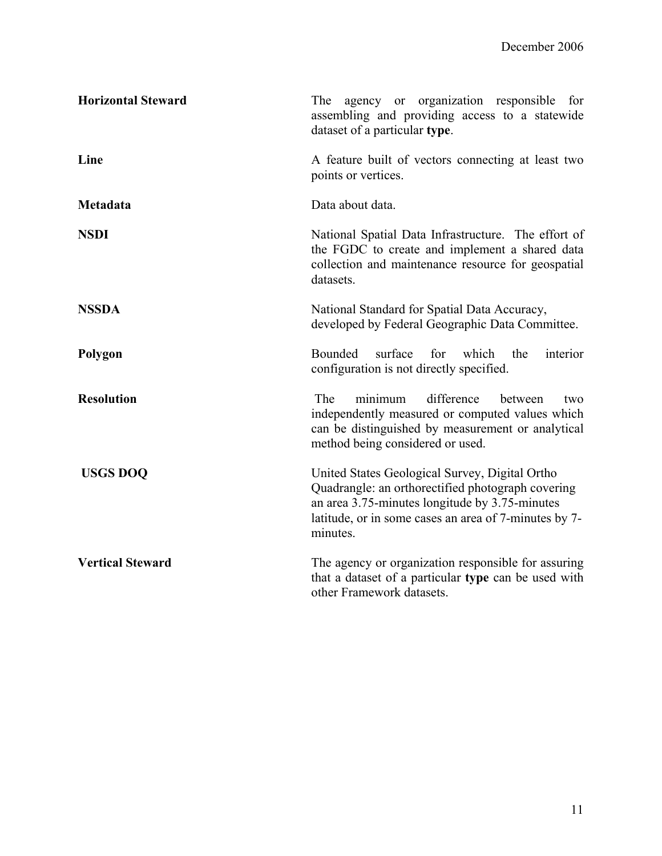| <b>Horizontal Steward</b>                                                                                                                                                               | agency or organization responsible for<br>The<br>assembling and providing access to a statewide<br>dataset of a particular type.                                                                                           |  |
|-----------------------------------------------------------------------------------------------------------------------------------------------------------------------------------------|----------------------------------------------------------------------------------------------------------------------------------------------------------------------------------------------------------------------------|--|
| Line                                                                                                                                                                                    | A feature built of vectors connecting at least two<br>points or vertices.                                                                                                                                                  |  |
| Metadata                                                                                                                                                                                | Data about data.                                                                                                                                                                                                           |  |
| <b>NSDI</b><br>National Spatial Data Infrastructure. The effort of<br>the FGDC to create and implement a shared data<br>collection and maintenance resource for geospatial<br>datasets. |                                                                                                                                                                                                                            |  |
| <b>NSSDA</b>                                                                                                                                                                            | National Standard for Spatial Data Accuracy,<br>developed by Federal Geographic Data Committee.                                                                                                                            |  |
| Polygon                                                                                                                                                                                 | surface<br>Bounded<br>for<br>which<br>the<br>interior<br>configuration is not directly specified.                                                                                                                          |  |
| <b>Resolution</b>                                                                                                                                                                       | difference<br>The<br>minimum<br>between<br>two<br>independently measured or computed values which<br>can be distinguished by measurement or analytical<br>method being considered or used.                                 |  |
| <b>USGS DOQ</b>                                                                                                                                                                         | United States Geological Survey, Digital Ortho<br>Quadrangle: an orthorectified photograph covering<br>an area 3.75-minutes longitude by 3.75-minutes<br>latitude, or in some cases an area of 7-minutes by 7-<br>minutes. |  |
| <b>Vertical Steward</b>                                                                                                                                                                 | The agency or organization responsible for assuring<br>that a dataset of a particular type can be used with<br>other Framework datasets.                                                                                   |  |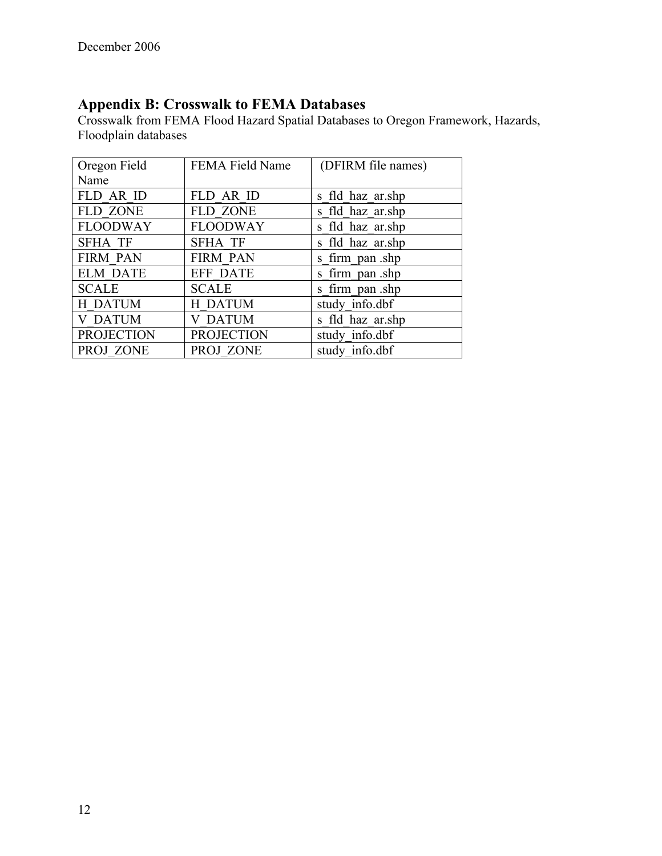# **Appendix B: Crosswalk to FEMA Databases**

Crosswalk from FEMA Flood Hazard Spatial Databases to Oregon Framework, Hazards, Floodplain databases

| Oregon Field      | <b>FEMA Field Name</b> | (DFIRM file names) |
|-------------------|------------------------|--------------------|
| Name              |                        |                    |
| FLD AR ID         | FLD AR ID              | s fld haz ar.shp   |
| <b>FLD ZONE</b>   | <b>FLD ZONE</b>        | s fld haz ar.shp   |
| <b>FLOODWAY</b>   | <b>FLOODWAY</b>        | s fld haz ar.shp   |
| <b>SFHA TF</b>    | <b>SFHA TF</b>         | s fld haz ar.shp   |
| <b>FIRM PAN</b>   | <b>FIRM PAN</b>        | s firm pan shp     |
| <b>ELM DATE</b>   | EFF DATE               | s firm pan shp     |
| <b>SCALE</b>      | <b>SCALE</b>           | s firm pan shp     |
| H DATUM           | <b>H DATUM</b>         | study info.dbf     |
| <b>V DATUM</b>    | <b>V DATUM</b>         | s fld haz ar.shp   |
| <b>PROJECTION</b> | <b>PROJECTION</b>      | study info.dbf     |
| PROJ ZONE         | PROJ ZONE              | study info.dbf     |